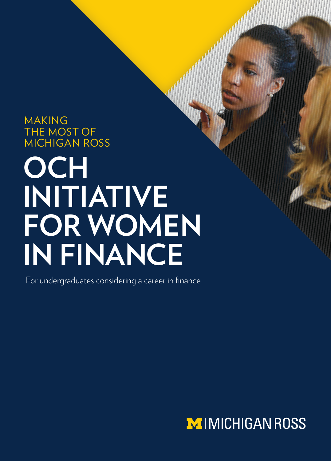# MAKING THE MOST OF MICHIGAN ROSS

# **OCH INITIATIVE FOR WOMEN IN FINANCE**

For undergraduates considering a career in finance

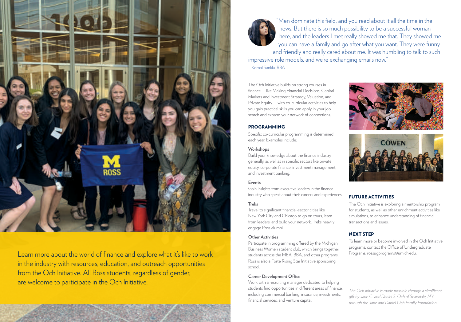

Learn more about the world of finance and explore what it's like to work in the industry with resources, education, and outreach opportunities from the Och Initiative. All Ross students, regardless of gender, are welcome to participate in the Och Initiative.



"Men dominate this field, and you read about it all the time in the news. But there is so much possibility to be a successful woman here, and the leaders I met really showed me that. They showed me you can have a family and go after what you want. They were funny and friendly and really cared about me. It was humbling to talk to such impressive role models, and we're exchanging emails now." —Komal Sankla, BBA

The Och Initiative builds on strong courses in finance — like Making Financial Decisions, Capital Markets and Investment Strategy, Valuation, and Private Equity — with co-curricular activities to help you gain practical skills you can apply in your job search and expand your network of connections.



Specific co-curricular programming is determined each year. Examples include:

# **Workshops**

Build your knowledge about the finance industry generally, as well as in specific sectors like private equity, corporate finance, investment management, and investment banking.

# **Events**

Gain insights from executive leaders in the finance industry who speak about their careers and experiences.

## **Treks**

Travel to significant financial-sector cities like New York City and Chicago to go on tours, learn from leaders, and build your network. Treks heavily engage Ross alumni.

#### **Other Activities**

Participate in programming offered by the Michigan Business Women student club, which brings together students across the MBA, BBA, and other programs. Ross is also a Forte Rising Star Initiative sponsoring school.

## **Career Development Office**

Work with a recruiting manager dedicated to helping students find opportunities in different areas of finance, including commercial banking, insurance, investments, financial services, and venture capital.





# FUTURE ACTIVITIES

The Och Initiative is exploring a mentorship program for students, as well as other enrichment activities like simulations, to enhance understanding of financial transactions and issues.

# NEXT STEP

To learn more or become involved in the Och Initiative programs, contact the Office of Undergraduate Programs, rossugprograms@umich.edu.

*The Och Initiative is made possible through a significant gift by Jane C. and Daniel S. Och of Scarsdale, N.Y., through the Jane and Daniel Och Family Foundation.*